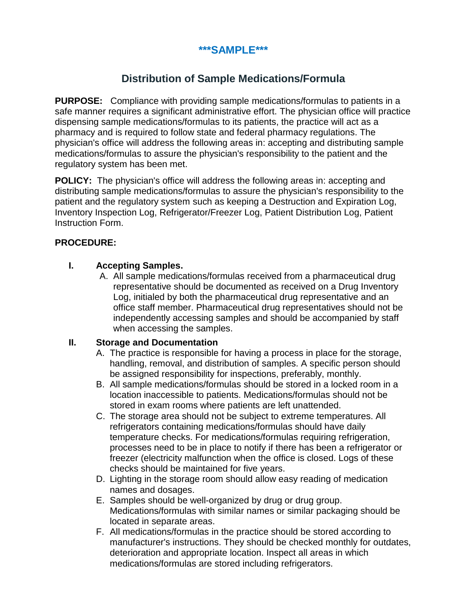# **\*\*\*SAMPLE\*\*\***

# **Distribution of Sample Medications/Formula**

**PURPOSE:** Compliance with providing sample medications/formulas to patients in a safe manner requires a significant administrative effort. The physician office will practice dispensing sample medications/formulas to its patients, the practice will act as a pharmacy and is required to follow state and federal pharmacy regulations. The physician's office will address the following areas in: accepting and distributing sample medications/formulas to assure the physician's responsibility to the patient and the regulatory system has been met.

**POLICY:** The physician's office will address the following areas in: accepting and distributing sample medications/formulas to assure the physician's responsibility to the patient and the regulatory system such as keeping a Destruction and Expiration Log, Inventory Inspection Log, Refrigerator/Freezer Log, Patient Distribution Log, Patient Instruction Form.

### **PROCEDURE:**

## **I. Accepting Samples.**

A. All sample medications/formulas received from a pharmaceutical drug representative should be documented as received on a Drug Inventory Log, initialed by both the pharmaceutical drug representative and an office staff member. Pharmaceutical drug representatives should not be independently accessing samples and should be accompanied by staff when accessing the samples.

### **II. Storage and Documentation**

- A. The practice is responsible for having a process in place for the storage, handling, removal, and distribution of samples. A specific person should be assigned responsibility for inspections, preferably, monthly.
- B. All sample medications/formulas should be stored in a locked room in a location inaccessible to patients. Medications/formulas should not be stored in exam rooms where patients are left unattended.
- C. The storage area should not be subject to extreme temperatures. All refrigerators containing medications/formulas should have daily temperature checks. For medications/formulas requiring refrigeration, processes need to be in place to notify if there has been a refrigerator or freezer (electricity malfunction when the office is closed. Logs of these checks should be maintained for five years.
- D. Lighting in the storage room should allow easy reading of medication names and dosages.
- E. Samples should be well-organized by drug or drug group. Medications/formulas with similar names or similar packaging should be located in separate areas.
- F. All medications/formulas in the practice should be stored according to manufacturer's instructions. They should be checked monthly for outdates, deterioration and appropriate location. Inspect all areas in which medications/formulas are stored including refrigerators.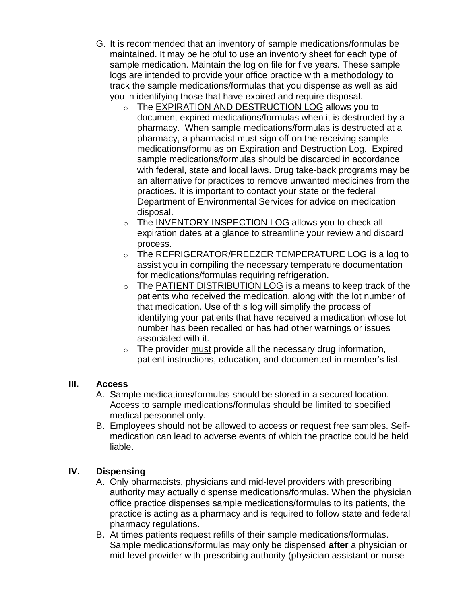- G. It is recommended that an inventory of sample medications/formulas be maintained. It may be helpful to use an inventory sheet for each type of sample medication. Maintain the log on file for five years. These sample logs are intended to provide your office practice with a methodology to track the sample medications/formulas that you dispense as well as aid you in identifying those that have expired and require disposal.
	- o The [EXPIRATION AND DESTRUCTION LOG](https://www.medicalmutual.com/assets/pdf/forms/expiration_destruction_log.pdf) allows you to document expired medications/formulas when it is destructed by a pharmacy. When sample medications/formulas is destructed at a pharmacy, a pharmacist must sign off on the receiving sample medications/formulas on Expiration and Destruction Log. Expired sample medications/formulas should be discarded in accordance with federal, state and local laws. Drug take-back programs may be an alternative for practices to remove unwanted medicines from the practices. It is important to contact your state or the federal Department of Environmental Services for advice on medication disposal.
	- o The [INVENTORY INSPECTION LOG](https://www.medicalmutual.com/assets/pdf/forms/inventory_log.pdf) allows you to check all expiration dates at a glance to streamline your review and discard process.
	- o The [REFRIGERATOR/FREEZER TEMPERATURE LOG](https://www.medicalmutual.com/assets/pdf/forms/refrigerator_log.pdf) is a log to assist you in compiling the necessary temperature documentation for medications/formulas requiring refrigeration.
	- o The [PATIENT DISTRIBUTION LOG](https://www.medicalmutual.com/assets/pdf/forms/patient_distribution_log.pdf) is a means to keep track of the patients who received the medication, along with the lot number of that medication. Use of this log will simplify the process of identifying your patients that have received a medication whose lot number has been recalled or has had other warnings or issues associated with it.
	- $\circ$  The provider must provide all the necessary drug information, patient instructions, education, and documented in member's list.

# **III. Access**

- A. Sample medications/formulas should be stored in a secured location. Access to sample medications/formulas should be limited to specified medical personnel only.
- B. Employees should not be allowed to access or request free samples. Selfmedication can lead to adverse events of which the practice could be held liable.

# **IV. Dispensing**

- A. Only pharmacists, physicians and mid-level providers with prescribing authority may actually dispense medications/formulas. When the physician office practice dispenses sample medications/formulas to its patients, the practice is acting as a pharmacy and is required to follow state and federal pharmacy regulations.
- B. At times patients request refills of their sample medications/formulas. Sample medications/formulas may only be dispensed **after** a physician or mid-level provider with prescribing authority (physician assistant or nurse